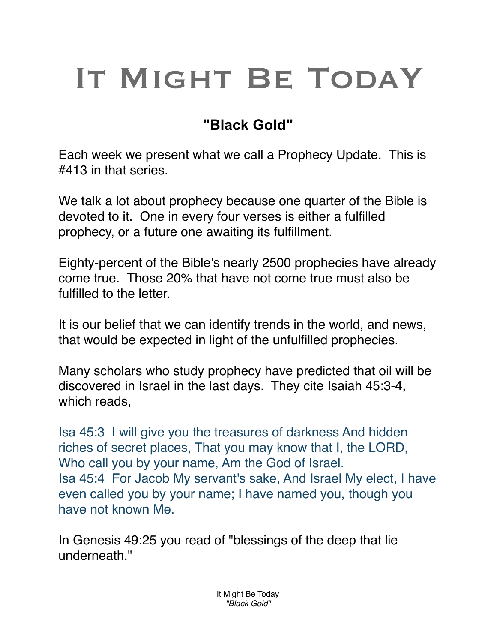## IT MIGHT BE TODAY

## **"Black Gold"**

Each week we present what we call a Prophecy Update. This is #413 in that series.

We talk a lot about prophecy because one quarter of the Bible is devoted to it. One in every four verses is either a fulfilled prophecy, or a future one awaiting its fulfillment.

Eighty-percent of the Bible's nearly 2500 prophecies have already come true. Those 20% that have not come true must also be fulfilled to the letter.

It is our belief that we can identify trends in the world, and news, that would be expected in light of the unfulfilled prophecies.

Many scholars who study prophecy have predicted that oil will be discovered in Israel in the last days. They cite Isaiah 45:3-4, which reads,

Isa 45:3 I will give you the treasures of darkness And hidden riches of secret places, That you may know that I, the LORD, Who call you by your name, Am the God of Israel. Isa 45:4 For Jacob My servant's sake, And Israel My elect, I have even called you by your name; I have named you, though you have not known Me.

In Genesis 49:25 you read of "blessings of the deep that lie underneath."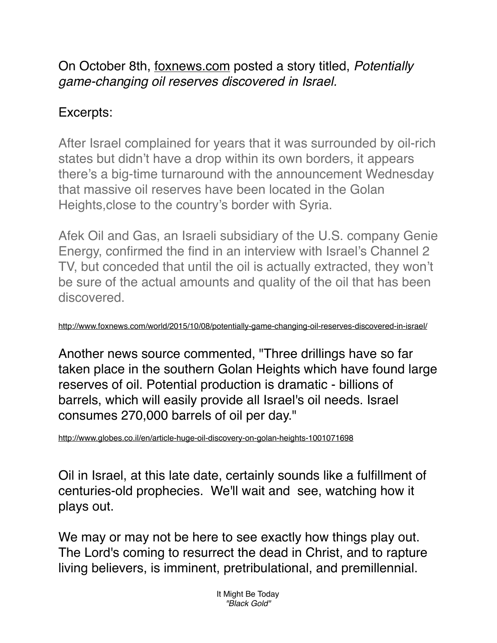On October 8th, [foxnews.com](http://foxnews.com) posted a story titled, *Potentially game-changing oil reserves discovered in Israel.*

## Excerpts:

After Israel complained for years that it was surrounded by oil-rich states but didn't have a drop within its own borders, it appears there's a big-time turnaround with the announcement Wednesday that massive oil reserves have been located in the Golan Heights,close to the country's border with Syria.

Afek Oil and Gas, an Israeli subsidiary of the U.S. company Genie Energy, confirmed the find in an interview with Israel's Channel 2 TV, but conceded that until the oil is actually extracted, they won't be sure of the actual amounts and quality of the oil that has been discovered.

<http://www.foxnews.com/world/2015/10/08/potentially-game-changing-oil-reserves-discovered-in-israel/>

Another news source commented, "Three drillings have so far taken place in the southern Golan Heights which have found large reserves of oil. Potential production is dramatic - billions of barrels, which will easily provide all Israel's oil needs. Israel consumes 270,000 barrels of oil per day."

<http://www.globes.co.il/en/article-huge-oil-discovery-on-golan-heights-1001071698>

Oil in Israel, at this late date, certainly sounds like a fulfillment of centuries-old prophecies. We'll wait and see, watching how it plays out.

We may or may not be here to see exactly how things play out. The Lord's coming to resurrect the dead in Christ, and to rapture living believers, is imminent, pretribulational, and premillennial.